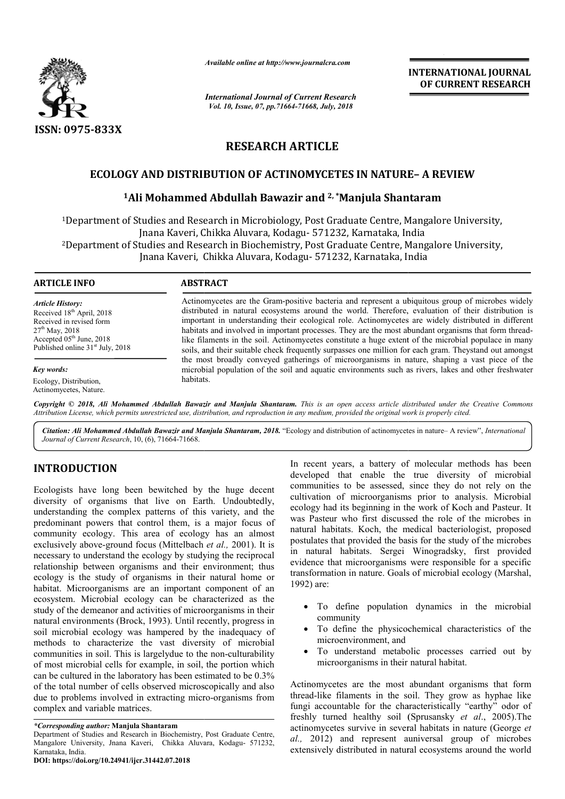

*Available online at http://www.journalcra.com*

*International Journal of Current Research Vol. 10, Issue, 07, pp.71664-71668, July, 2018*

**INTERNATIONAL JOURNAL OF CURRENT RESEARCH**

# **RESEARCH ARTICLE**

## **ECOLOGY AND DISTRIBUTION OF ACTINOMYCETES IN NATURE NATURE– A REVIEW**

### **1Ali Mohammed Abdullah Bawazir and Ali 2, \*Manjula Shantaram Manjula**

<sup>1</sup>Department of Studies and Research in Microbiology, Post Graduate Centre, Mangalore University,<br>Jnana Kaveri, Chikka Aluvara, Kodagu- 571232, Karnataka, India Jnana Kaveri, Chikka Aluvara, Kodagu- 571232, Karnataka, India <sup>2</sup>Department of Studies and Research in Biochemistry, Post Graduate Centre, Mangalore University,<br>Jnana Kaveri, Chikka Aluvara, Kodagu- 571232, Karnataka, India Jnana Kaveri, Chikka Aluvara, Kodagu- 571232, Karnataka, India Department of Studies and Research in Microbiology, Post Graduate Centre, Mang<br>Jnana Kaveri, Chikka Aluvara, Kodagu- 571232, Karnataka, India<br>Department of Studies and Research in Biochemistry, Post Graduate Centre, Mang

| <b>ARTICLE INFO</b>                                                                                                                                                                            | <b>ABSTRACT</b>                                                                                                                                                                                                                                                                                                                                                                                                                                                                                                                                                                                                                        |
|------------------------------------------------------------------------------------------------------------------------------------------------------------------------------------------------|----------------------------------------------------------------------------------------------------------------------------------------------------------------------------------------------------------------------------------------------------------------------------------------------------------------------------------------------------------------------------------------------------------------------------------------------------------------------------------------------------------------------------------------------------------------------------------------------------------------------------------------|
| <b>Article History:</b><br>Received 18 <sup>th</sup> April, 2018<br>Received in revised form<br>$27th$ May, 2018<br>Accepted $05th$ June, 2018<br>Published online 31 <sup>st</sup> July, 2018 | Actinomycetes are the Gram-positive bacteria and represent a ubiquitous group of microbes widely<br>distributed in natural ecosystems around the world. Therefore, evaluation of their distribution is<br>important in understanding their ecological role. Actinomycetes are widely distributed in different<br>habitats and involved in important processes. They are the most abundant organisms that form thread-<br>like filaments in the soil. Actinomycetes constitute a huge extent of the microbial populace in many<br>soils, and their suitable check frequently surpasses one million for each gram. Theystand out amongst |
| Key words:                                                                                                                                                                                     | the most broadly conveyed gatherings of microorganisms in nature, shaping a vast piece of the<br>microbial population of the soil and aquatic environments such as rivers, lakes and other freshwater<br>habitats.                                                                                                                                                                                                                                                                                                                                                                                                                     |
| Ecology, Distribution,<br>Actinomycetes, Nature.                                                                                                                                               |                                                                                                                                                                                                                                                                                                                                                                                                                                                                                                                                                                                                                                        |

Copyright © 2018, Ali Mohammed Abdullah Bawazir and Manjula Shantaram. This is an open access article distributed under the Creative Commons Attribution License, which permits unrestricted use, distribution, and reproduction in any medium, provided the original work is properly cited.

Citation: Ali Mohammed Abdullah Bawazir and Manjula Shantaram, 2018. "Ecology and distribution of actinomycetes in nature– A review", *International Journal of Current Research*, 10, (6), 71664-71668.

# **INTRODUCTION**

Ecologists have long been bewitched by the huge decent diversity of organisms that live on Earth. Undoubtedly, understanding the complex patterns of this variety, and the predominant powers that control them, is a major focus of community ecology. This area of ecology has an almost community ecology. This area of ecology has an almost exclusively above-ground focus (Mittelbach *et al.*, 2001). It is necessary to understand the ecology by studying the reciprocal relationship between organisms and their environment; thus ecology is the study of organisms in their natural home or habitat. Microorganisms are an important component of an ecosystem. Microbial ecology can be characterized as the study of the demeanor and activities of microorganisms in their natural environments (Brock, 1993). Until recently, progress in soil microbial ecology was hampered by the inadequacy of methods to characterize the vast diversity of microbial communities in soil. This is largelydue to the non-culturability of most microbial cells for example, in soil, the portion which can be cultured in the laboratory has been estimated to be  $0.3\%$ of the total number of cells observed microscopically and also due to problems involved in extracting micro-organisms from complex and variable matrices.

**DOI: https://doi.org/10.24941/ijcr.31442.07.2018**

In recent years, a battery of molecular methods has been developed that enable the true diversity of microbial communities to be assessed, since they do not rely on the developed that enable the true diversity of microbial communities to be assessed, since they do not rely on the cultivation of microorganisms prior to analysis. Microbial ecology had its beginning in the work of Koch and Pasteur. It was Pasteur who first discussed the role of the microbes in natural habitats. Koch, the medical bacteriologist, proposed postulates that provided the basis for the study of the microbes in natural habitats. Sergei Winogradsky, first provided evidence that microorganisms were responsible for a specific transformation in nature. Goals of microbial ecology (Marshal, 1992) are: its steur who first the role of the microbes in the work of Koch and Pasteur. It was Pasteur who first discussed the role of the microbes in a<br>tural habitats. Koch, the medical bacteriologist, proposed postulates that prov **EXERCTIONAL JOURNAL**<br> **EXERCT TOWAL CONDUMAL CONDUMAL CONDUMAL CONDUMAL CONDUMAL CONDUMBATION CONDUMBATION CONDUMBATION (STRIBUTE ARE VIEW "MANDIVIRE – A REVIEW "Manjula Shantaram raduate Centre, Mangalore University, 32,** 

- To define population dynamics in the microbial community
- To define the physicochemical characteristics of the microenvironment, and
- To understand metabolic processes carried out by microorganisms in their natural habitat.

Actinomycetes are the most abundant organisms that form thread-like filaments in the soil. They grow as hyphae like fungi accountable for the characteristically "earthy" odor of freshly turned healthy soil (Sprusansky *et al.*, 2005). The actinomycetes survive in several habitats in nature (George et *al.,* 2012) and represent auniversal group of microbes extensively distributed in natural ecosystems around the world

*<sup>\*</sup>Corresponding author:* **Manjula Shantaram**

Department of Studies and Research in Biochemistry, Post Graduate Centre, Mangalore University, Jnana Kaveri, Chikka Aluvara, Kodagu- 571232, Karnataka, India.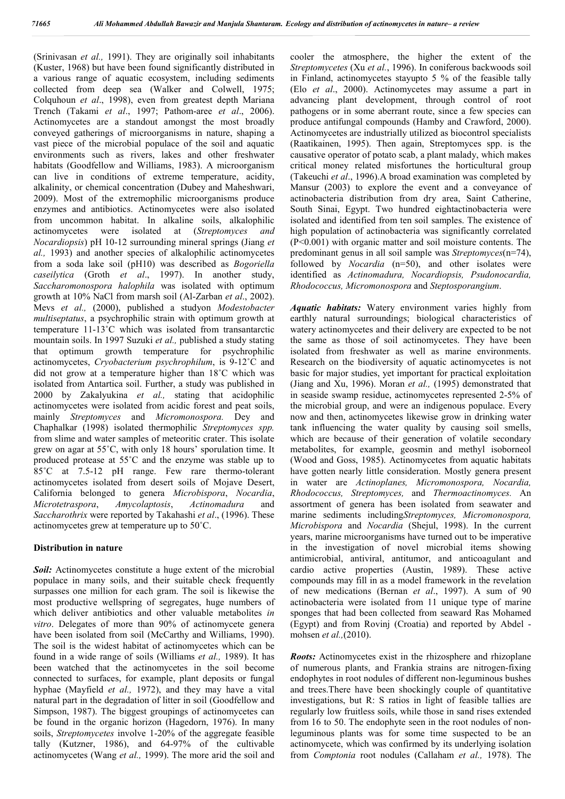(Srinivasan *et al.,* 1991). They are originally soil inhabitants (Kuster, 1968) but have been found significantly distributed in a various range of aquatic ecosystem, including sediments collected from deep sea (Walker and Colwell, 1975; Colquhoun *et al*., 1998), even from greatest depth Mariana Trench (Takami *et al*., 1997; Pathom-aree *et al*., 2006). Actinomycetes are a standout amongst the most broadly conveyed gatherings of microorganisms in nature, shaping a vast piece of the microbial populace of the soil and aquatic environments such as rivers, lakes and other freshwater habitats (Goodfellow and Williams, 1983). A microorganism can live in conditions of extreme temperature, acidity, alkalinity, or chemical concentration (Dubey and Maheshwari, 2009). Most of the extremophilic microorganisms produce enzymes and antibiotics. Actinomycetes were also isolated from uncommon habitat. In alkaline soils, alkalophilic actinomycetes were isolated at (*Streptomyces and Nocardiopsis*) pH 10-12 surrounding mineral springs (Jiang *et al.,* 1993) and another species of alkalophilic actinomycetes from a soda lake soil (pH10) was described as *Bogoriella caseilytica* (Groth *et al*., 1997). In another study, *Saccharomonospora halophila* was isolated with optimum growth at 10% NaCl from marsh soil (Al-Zarban *et al*., 2002). Mevs *et al.,* (2000), published a studyon *Modestobacter multiseptatus*, a psychrophilic strain with optimum growth at temperature 11-13˚C which was isolated from transantarctic mountain soils. In 1997 Suzuki *et al.,* published a study stating that optimum growth temperature for psychrophilic actinomycetes, *Cryobacterium psychrophilum*, is 9-12˚C and did not grow at a temperature higher than 18˚C which was isolated from Antartica soil. Further, a study was published in 2000 by Zakalyukina *et al.,* stating that acidophilic actinomycetes were isolated from acidic forest and peat soils, mainly *Streptomyces* and *Micromonospora.* Dey and Chaphalkar (1998) isolated thermophilic *Streptomyces spp.* from slime and water samples of meteoritic crater. This isolate grew on agar at 55˚C, with only 18 hours' sporulation time. It produced protease at 55˚C and the enzyme was stable up to 85˚C at 7.5-12 pH range. Few rare thermo-tolerant actinomycetes isolated from desert soils of Mojave Desert, California belonged to genera *Microbispora*, *Nocardia*, *Microtetraspora*, *Amycolaptosis*, *Actinomadura* and *Saccharothrix* were reported by Takahashi *et al*., (1996). These actinomycetes grew at temperature up to 50˚C.

#### **Distribution in nature**

*Soil:* Actinomycetes constitute a huge extent of the microbial populace in many soils, and their suitable check frequently surpasses one million for each gram. The soil is likewise the most productive wellspring of segregates, huge numbers of which deliver antibiotics and other valuable metabolites *in vitro*. Delegates of more than 90% of actinomycete genera have been isolated from soil (McCarthy and Williams, 1990). The soil is the widest habitat of actinomycetes which can be found in a wide range of soils (Williams *et al.,* 1989). It has been watched that the actinomycetes in the soil become connected to surfaces, for example, plant deposits or fungal hyphae (Mayfield *et al.,* 1972), and they may have a vital natural part in the degradation of litter in soil (Goodfellow and Simpson, 1987). The biggest groupings of actinomycetes can be found in the organic horizon (Hagedorn, 1976). In many soils, *Streptomycetes* involve 1-20% of the aggregate feasible tally (Kutzner, 1986), and 64-97% of the cultivable actinomycetes (Wang *et al.,* 1999). The more arid the soil and

cooler the atmosphere, the higher the extent of the *Streptomycetes* (Xu *et al.*, 1996). In coniferous backwoods soil in Finland, actinomycetes stayupto 5 % of the feasible tally (Elo *et al*., 2000). Actinomycetes may assume a part in advancing plant development, through control of root pathogens or in some aberrant route, since a few species can produce antifungal compounds (Hamby and Crawford, 2000). Actinomycetes are industrially utilized as biocontrol specialists (Raatikainen, 1995). Then again, Streptomyces spp. is the causative operator of potato scab, a plant malady, which makes critical money related misfortunes the horticultural group (Takeuchi *et al*., 1996).A broad examination was completed by Mansur (2003) to explore the event and a conveyance of actinobacteria distribution from dry area, Saint Catherine, South Sinai, Egypt. Two hundred eightactinobacteria were isolated and identified from ten soil samples. The existence of high population of actinobacteria was significantly correlated (P<0.001) with organic matter and soil moisture contents. The predominant genus in all soil sample was *Streptomyces*(n=74), followed by *Nocardia* (n=50), and other isolates were identified as *Actinomadura, Nocardiopsis, Psudonocardia, Rhodococcus, Micromonospora* and *Steptosporangium*.

*Aquatic habitats:* Watery environment varies highly from earthly natural surroundings; biological characteristics of watery actinomycetes and their delivery are expected to be not the same as those of soil actinomycetes. They have been isolated from freshwater as well as marine environments. Research on the biodiversity of aquatic actinomycetes is not basic for major studies, yet important for practical exploitation (Jiang and Xu, 1996). Moran *et al.,* (1995) demonstrated that in seaside swamp residue, actinomycetes represented 2-5% of the microbial group, and were an indigenous populace. Every now and then, actinomycetes likewise grow in drinking water tank influencing the water quality by causing soil smells, which are because of their generation of volatile secondary metabolites, for example, geosmin and methyl isoborneol (Wood and Goss, 1985). Actinomycetes from aquatic habitats have gotten nearly little consideration. Mostly genera present in water are *Actinoplanes, Micromonospora, Nocardia, Rhodococcus, Streptomyces,* and *Thermoactinomyces.* An assortment of genera has been isolated from seawater and marine sediments including*Streptomyces, Micromonospora, Microbispora* and *Nocardia* (Shejul, 1998). In the current years, marine microorganisms have turned out to be imperative in the investigation of novel microbial items showing antimicrobial, antiviral, antitumor, and anticoagulant and cardio active properties (Austin, 1989). These active compounds may fill in as a model framework in the revelation of new medications (Bernan *et al*., 1997). A sum of 90 actinobacteria were isolated from 11 unique type of marine sponges that had been collected from seaward Ras Mohamed (Egypt) and from Rovinj (Croatia) and reported by Abdel mohsen *et al.,*(2010).

*Roots:* Actinomycetes exist in the rhizosphere and rhizoplane of numerous plants, and Frankia strains are nitrogen-fixing endophytes in root nodules of different non-leguminous bushes and trees.There have been shockingly couple of quantitative investigations, but R: S ratios in light of feasible tallies are regularly low fruitless soils, while those in sand rises extended from 16 to 50. The endophyte seen in the root nodules of nonleguminous plants was for some time suspected to be an actinomycete, which was confirmed by its underlying isolation from *Comptonia* root nodules (Callaham *et al.,* 1978). The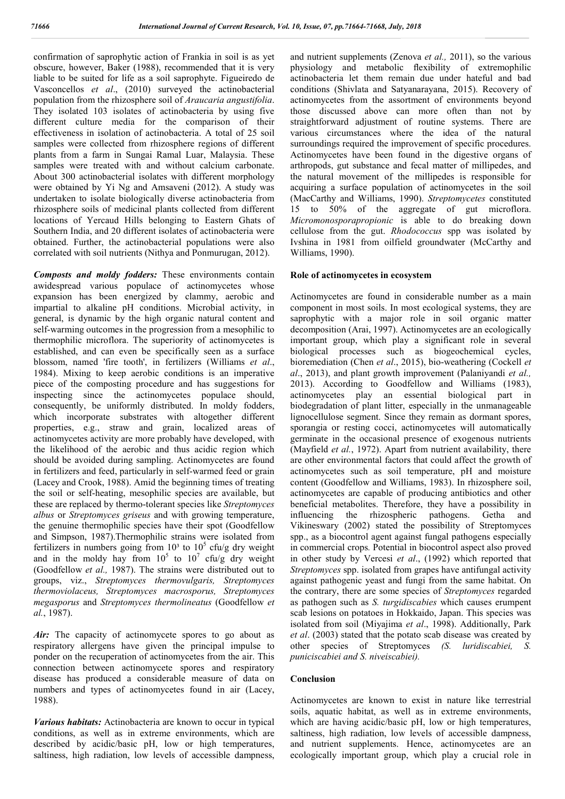confirmation of saprophytic action of Frankia in soil is as yet obscure, however, Baker (1988), recommended that it is very liable to be suited for life as a soil saprophyte. Figueiredo de Vasconcellos *et al*., (2010) surveyed the actinobacterial population from the rhizosphere soil of *Araucaria angustifolia*. They isolated 103 isolates of actinobacteria by using five different culture media for the comparison of their effectiveness in isolation of actinobacteria. A total of 25 soil samples were collected from rhizosphere regions of different plants from a farm in Sungai Ramal Luar, Malaysia. These samples were treated with and without calcium carbonate. About 300 actinobacterial isolates with different morphology were obtained by Yi Ng and Amsaveni (2012). A study was undertaken to isolate biologically diverse actinobacteria from rhizosphere soils of medicinal plants collected from different locations of Yercaud Hills belonging to Eastern Ghats of Southern India, and 20 different isolates of actinobacteria were obtained. Further, the actinobacterial populations were also correlated with soil nutrients (Nithya and Ponmurugan, 2012).

*Composts and moldy fodders:* These environments contain awidespread various populace of actinomycetes whose expansion has been energized by clammy, aerobic and impartial to alkaline pH conditions. Microbial activity, in general, is dynamic by the high organic natural content and self-warming outcomes in the progression from a mesophilic to thermophilic microflora. The superiority of actinomycetes is established, and can even be specifically seen as a surface blossom, named 'fire tooth', in fertilizers (Williams *et al*., 1984). Mixing to keep aerobic conditions is an imperative piece of the composting procedure and has suggestions for inspecting since the actinomycetes populace should, consequently, be uniformly distributed. In moldy fodders, which incorporate substrates with altogether different properties, e.g., straw and grain, localized areas of actinomycetes activity are more probably have developed, with the likelihood of the aerobic and thus acidic region which should be avoided during sampling. Actinomycetes are found in fertilizers and feed, particularly in self-warmed feed or grain (Lacey and Crook, 1988). Amid the beginning times of treating the soil or self-heating, mesophilic species are available, but these are replaced by thermo-tolerant species like *Streptomyces albus* or *Streptomyces griseus* and with growing temperature, the genuine thermophilic species have their spot (Goodfellow and Simpson, 1987).Thermophilic strains were isolated from fertilizers in numbers going from  $10<sup>3</sup>$  to  $10<sup>5</sup>$  cfu/g dry weight and in the moldy hay from  $10^5$  to  $10^7$  cfu/g dry weight (Goodfellow *et al.,* 1987). The strains were distributed out to groups, viz., *Streptomyces thermovulgaris, Streptomyces thermoviolaceus, Streptomyces macrosporus, Streptomyces megasporus* and *Streptomyces thermolineatus* (Goodfellow *et al.*, 1987).

Air: The capacity of actinomycete spores to go about as respiratory allergens have given the principal impulse to ponder on the recuperation of actinomycetes from the air. This connection between actinomycete spores and respiratory disease has produced a considerable measure of data on numbers and types of actinomycetes found in air (Lacey, 1988).

*Various habitats:* Actinobacteria are known to occur in typical conditions, as well as in extreme environments, which are described by acidic/basic pH, low or high temperatures, saltiness, high radiation, low levels of accessible dampness,

and nutrient supplements (Zenova *et al.,* 2011), so the various physiology and metabolic flexibility of extremophilic actinobacteria let them remain due under hateful and bad conditions (Shivlata and Satyanarayana, 2015). Recovery of actinomycetes from the assortment of environments beyond those discussed above can more often than not by straightforward adjustment of routine systems. There are various circumstances where the idea of the natural surroundings required the improvement of specific procedures. Actinomycetes have been found in the digestive organs of arthropods, gut substance and fecal matter of millipedes, and the natural movement of the millipedes is responsible for acquiring a surface population of actinomycetes in the soil (MacCarthy and Williams, 1990). *Streptomycetes* constituted 15 to 50% of the aggregate of gut microflora. *Micromonosporapropionic* is able to do breaking down cellulose from the gut. *Rhodococcus* spp was isolated by Ivshina in 1981 from oilfield groundwater (McCarthy and Williams, 1990).

### **Role of actinomycetes in ecosystem**

Actinomycetes are found in considerable number as a main component in most soils. In most ecological systems, they are saprophytic with a major role in soil organic matter decomposition (Arai, 1997). Actinomycetes are an ecologically important group, which play a significant role in several biological processes such as biogeochemical cycles, bioremediation (Chen *et al*., 2015), bio-weathering (Cockell *et al*., 2013), and plant growth improvement (Palaniyandi *et al.,* 2013). According to Goodfellow and Williams (1983), actinomycetes play an essential biological part in biodegradation of plant litter, especially in the unmanageable lignocellulose segment. Since they remain as dormant spores, sporangia or resting cocci, actinomycetes will automatically germinate in the occasional presence of exogenous nutrients (Mayfield *et al.*, 1972). Apart from nutrient availability, there are other environmental factors that could affect the growth of actinomycetes such as soil temperature, pH and moisture content (Goodfellow and Williams, 1983). In rhizosphere soil, actinomycetes are capable of producing antibiotics and other beneficial metabolites. Therefore, they have a possibility in influencing the rhizospheric pathogens. Getha and Vikineswary (2002) stated the possibility of Streptomyces spp., as a biocontrol agent against fungal pathogens especially in commercial crops*.* Potential in biocontrol aspect also proved in other study by Vercesi *et al*., (1992) which reported that *Streptomyces* spp. isolated from grapes have antifungal activity against pathogenic yeast and fungi from the same habitat. On the contrary, there are some species of *Streptomyces* regarded as pathogen such as *S. turgidiscabies* which causes erumpent scab lesions on potatoes in Hokkaido, Japan. This species was isolated from soil (Miyajima *et al*., 1998). Additionally, Park *et al*. (2003) stated that the potato scab disease was created by other species of Streptomyces *(S. luridiscabiei, S. puniciscabiei and S. niveiscabiei).*

#### **Conclusion**

Actinomycetes are known to exist in nature like terrestrial soils, aquatic habitat, as well as in extreme environments, which are having acidic/basic pH, low or high temperatures, saltiness, high radiation, low levels of accessible dampness, and nutrient supplements. Hence, actinomycetes are an ecologically important group, which play a crucial role in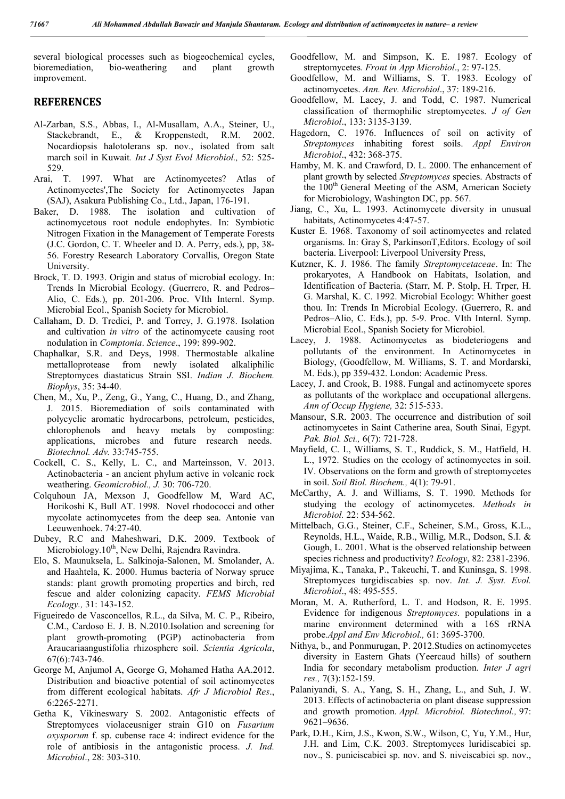several biological processes such as biogeochemical cycles, bioremediation, bio-weathering and plant growth improvement.

### **REFERENCES**

- Al-Zarban, S.S., Abbas, I., Al-Musallam, A.A., Steiner, U., Stackebrandt, E., & Kroppenstedt, R.M. 2002. Nocardiopsis halotolerans sp. nov., isolated from salt march soil in Kuwait*. Int J Syst Evol Microbiol.,* 52: 525- 529.
- Arai, T. 1997. What are Actinomycetes? Atlas of Actinomycetes',The Society for Actinomycetes Japan (SAJ), Asakura Publishing Co., Ltd., Japan, 176-191.
- Baker, D. 1988. The isolation and cultivation of actinomycetous root nodule endophytes. In: Symbiotic Nitrogen Fixation in the Management of Temperate Forests (J.C. Gordon, C. T. Wheeler and D. A. Perry, eds.), pp, 38- 56. Forestry Research Laboratory Corvallis, Oregon State University.
- Brock, T. D. 1993. Origin and status of microbial ecology. In: Trends In Microbial Ecology. (Guerrero, R. and Pedros– Alio, C. Eds.), pp. 201-206. Proc. VIth Internl. Symp. Microbial Ecol., Spanish Society for Microbiol.
- Callaham, D. D. Tredici, P. and Torrey, J. G.1978. Isolation and cultivation *in vitro* of the actinomycete causing root nodulation in *Comptonia*. *Science*., 199: 899-902.
- Chaphalkar, S.R. and Deys, 1998. Thermostable alkaline mettalloprotease from newly isolated alkaliphilic Streptomyces diastaticus Strain SSI. *Indian J. Biochem. Biophys*, 35: 34-40.
- Chen, M., Xu, P., Zeng, G., Yang, C., Huang, D., and Zhang, J. 2015. Bioremediation of soils contaminated with polycyclic aromatic hydrocarbons, petroleum, pesticides, chlorophenols and heavy metals by composting: applications, microbes and future research needs. *Biotechnol. Adv.* 33:745-755.
- Cockell, C. S., Kelly, L. C., and Marteinsson, V. 2013. Actinobacteria - an ancient phylum active in volcanic rock weathering. *Geomicrobiol., J.* 30: 706-720.
- Colquhoun JA, Mexson J, Goodfellow M, Ward AC, Horikoshi K, Bull AT. 1998. Novel rhodococci and other mycolate actinomycetes from the deep sea. Antonie van Leeuwenhoek. 74:27-40.
- Dubey, R.C and Maheshwari, D.K. 2009. Textbook of Microbiology. $10^{th}$ , New Delhi, Rajendra Ravindra.
- Elo, S. Maunuksela, L. Salkinoja-Salonen, M. Smolander, A. and Haahtela, K. 2000. Humus bacteria of Norway spruce stands: plant growth promoting properties and birch, red fescue and alder colonizing capacity. *FEMS Microbial Ecology.,* 31: 143-152.
- Figueiredo de Vasconcellos, R.L., da Silva, M. C. P., Ribeiro, C.M., Cardoso E. J. B. N.2010.Isolation and screening for plant growth-promoting (PGP) actinobacteria from Araucariaangustifolia rhizosphere soil. *Scientia Agricola*, 67(6):743-746.
- George M, Anjumol A, George G, Mohamed Hatha AA.2012. Distribution and bioactive potential of soil actinomycetes from different ecological habitats. *Afr J Microbiol Res*., 6:2265-2271.
- Getha K, Vikineswary S. 2002. Antagonistic effects of Streptomyces violaceusniger strain G10 on *Fusarium oxysporum* f. sp. cubense race 4: indirect evidence for the role of antibiosis in the antagonistic process. *J. Ind. Microbiol*., 28: 303-310.
- Goodfellow, M. and Simpson, K. E. 1987. Ecology of streptomycetes*. Front in App Microbiol*., 2: 97-125.
- Goodfellow, M. and Williams, S. T. 1983. Ecology of actinomycetes. *Ann. Rev. Microbiol*., 37: 189-216.
- Goodfellow, M. Lacey, J. and Todd, C. 1987. Numerical classification of thermophilic streptomycetes. *J of Gen Microbiol*., 133: 3135-3139.
- Hagedorn, C. 1976. Influences of soil on activity of *Streptomyces* inhabiting forest soils. *Appl Environ Microbiol*., 432: 368-375.
- Hamby, M. K. and Crawford, D. L. 2000. The enhancement of plant growth by selected *Streptomyces* species. Abstracts of the 100<sup>th</sup> General Meeting of the ASM, American Society for Microbiology, Washington DC, pp. 567.
- Jiang, C., Xu, L. 1993. Actinomycete diversity in unusual habitats, Actinomycetes 4:47-57.
- Kuster E. 1968. Taxonomy of soil actinomycetes and related organisms. In: Gray S, ParkinsonT,Editors. Ecology of soil bacteria. Liverpool: Liverpool University Press,
- Kutzner, K. J. 1986. The family *Streptomycetaceae*. In: The prokaryotes, A Handbook on Habitats, Isolation, and Identification of Bacteria. (Starr, M. P. Stolp, H. Trper, H. G. Marshal, K. C. 1992. Microbial Ecology: Whither goest thou. In: Trends In Microbial Ecology. (Guerrero, R. and Pedros–Alio, C. Eds.), pp. 5-9. Proc. VIth Internl. Symp. Microbial Ecol., Spanish Society for Microbiol.
- Lacey, J. 1988. Actinomycetes as biodeteriogens and pollutants of the environment. In Actinomycetes in Biology, (Goodfellow, M. Williams, S. T. and Mordarski, M. Eds.), pp 359-432. London: Academic Press.
- Lacey, J. and Crook, B. 1988. Fungal and actinomycete spores as pollutants of the workplace and occupational allergens. *Ann of Occup Hygiene,* 32: 515-533.
- Mansour, S.R. 2003. The occurrence and distribution of soil actinomycetes in Saint Catherine area, South Sinai, Egypt. *Pak. Biol. Sci.,* 6(7): 721-728.
- Mayfield, C. I., Williams, S. T., Ruddick, S. M., Hatfield, H. L., 1972. Studies on the ecology of actinomycetes in soil. IV. Observations on the form and growth of streptomycetes in soil. *Soil Biol. Biochem.,* 4(1): 79-91.
- McCarthy, A. J. and Williams, S. T. 1990. Methods for studying the ecology of actinomycetes. *Methods in Microbiol.* 22: 534-562.
- Mittelbach, G.G., Steiner, C.F., Scheiner, S.M., Gross, K.L., Reynolds, H.L., Waide, R.B., Willig, M.R., Dodson, S.I. & Gough, L. 2001. What is the observed relationship between species richness and productivity? *Ecology*, 82: 2381-2396.
- Miyajima, K., Tanaka, P., Takeuchi, T. and Kuninsga, S. 1998. Streptomyces turgidiscabies sp. nov. *Int. J. Syst. Evol. Microbiol*., 48: 495-555.
- Moran, M. A. Rutherford, L. T. and Hodson, R. E. 1995. Evidence for indigenous *Streptomyces.* populations in a marine environment determined with a 16S rRNA probe*.Appl and Env Microbiol.,* 61: 3695-3700.
- Nithya, b., and Ponmurugan, P. 2012.Studies on actinomycetes diversity in Eastern Ghats (Yeercaud hills) of southern India for secondary metabolism production. *Inter J agri res.,* 7(3):152-159.
- Palaniyandi, S. A., Yang, S. H., Zhang, L., and Suh, J. W. 2013. Effects of actinobacteria on plant disease suppression and growth promotion. *Appl. Microbiol. Biotechnol.,* 97: 9621–9636.
- Park, D.H., Kim, J.S., Kwon, S.W., Wilson, C, Yu, Y.M., Hur, J.H. and Lim, C.K. 2003. Streptomyces luridiscabiei sp. nov., S. puniciscabiei sp. nov. and S. niveiscabiei sp. nov.,